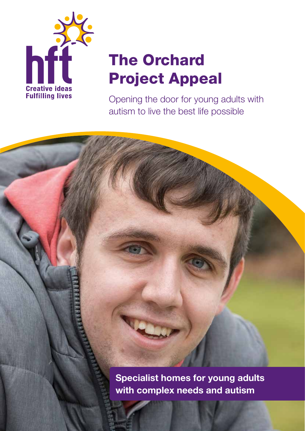

# The Orchard Project Appeal

Opening the door for young adults with autism to live the best life possible

**Specialist homes for young adults with complex needs and autism**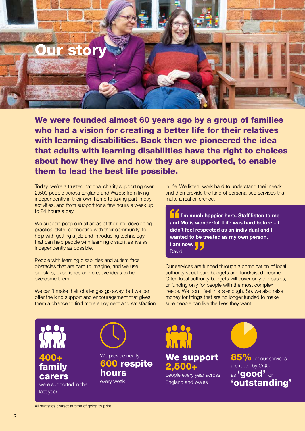

We were founded almost 60 years ago by a group of families who had a vision for creating a better life for their relatives with learning disabilities. Back then we pioneered the idea that adults with learning disabilities have the right to choices about how they live and how they are supported, to enable them to lead the best life possible.

Today, we're a trusted national charity supporting over 2,500 people across England and Wales; from living independently in their own home to taking part in day activities, and from support for a few hours a week up to 24 hours a day.

We support people in all areas of their life: developing practical skills, connecting with their community, to help with getting a job and introducing technology that can help people with learning disabilities live as independently as possible.

People with learning disabilities and autism face obstacles that are hard to imagine, and we use our skills, experience and creative ideas to help overcome them.

We can't make their challenges go away, but we can offer the kind support and encouragement that gives them a chance to find more enjoyment and satisfaction in life. We listen, work hard to understand their needs and then provide the kind of personalised services that make a real difference.

**I** I'm much happier here. Staff listen to me **and Mo is wonderful. Life was hard before – I didn't feel respected as an individual and I wanted to be treated as my own person. I am now.**  David

Our services are funded through a combination of local authority social care budgets and fundraised income. Often local authority budgets will cover only the basics, or funding only for people with the most complex needs. We don't feel this is enough. So, we also raise money for things that are no longer funded to make sure people can live the lives they want.



All statistics correct at time of going to print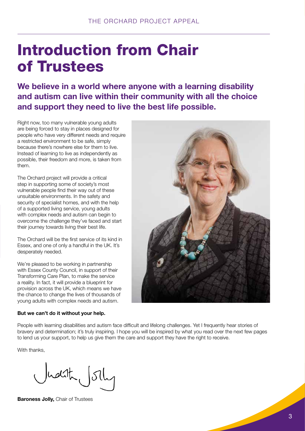## Introduction from Chair of Trustees

**We believe in a world where anyone with a learning disability and autism can live within their community with all the choice and support they need to live the best life possible.** 

Right now, too many vulnerable young adults are being forced to stay in places designed for people who have very different needs and require a restricted environment to be safe, simply because there's nowhere else for them to live. Instead of learning to live as independently as possible, their freedom and more, is taken from them.

The Orchard project will provide a critical step in supporting some of society's most vulnerable people find their way out of these unsuitable environments. In the safety and security of specialist homes, and with the help of a supported living service, young adults with complex needs and autism can begin to overcome the challenge they've faced and start their journey towards living their best life.

The Orchard will be the first service of its kind in Essex, and one of only a handful in the UK. It's desperately needed.

We're pleased to be working in partnership with Essex County Council, in support of their Transforming Care Plan, to make the service a reality. In fact, it will provide a blueprint for provision across the UK, which means we have the chance to change the lives of thousands of young adults with complex needs and autism.

#### **But we can't do it without your help.**



People with learning disabilities and autism face difficult and lifelong challenges. Yet I frequently hear stories of bravery and determination; it's truly inspiring. I hope you will be inspired by what you read over the next few pages to lend us your support, to help us give them the care and support they have the right to receive.

With thanks,

Judath Jolly

**Baroness Jolly,** Chair of Trustees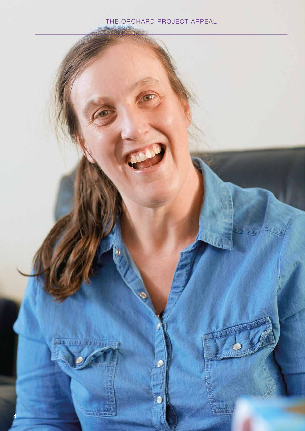#### THE ORCHARD PROJECT APPEAL

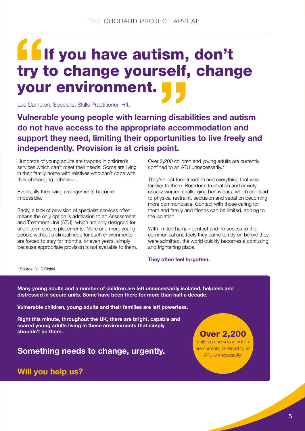# **find if you have autism, don't** try to change yourself, change your environment.

Lee Campion, Specialist Skills Practitioner, Hft.

### **Vulnerable young people with learning disabilities and autism do not have access to the appropriate accommodation and support they need, limiting their opportunities to live freely and independently. Provision is at crisis point.**

Hundreds of young adults are trapped in children's services which can't meet their needs. Some are living in their family home with relatives who can't cope with their challenging behaviour.

Eventually their living arrangements become impossible.

Sadly, a lack of provision of specialist services often means the only option is admission to an Assessment and Treatment Unit (ATU), which are only designed for short-term secure placements. More and more young people without a clinical need for such environments are forced to stay for months, or even years, simply because appropriate provision is not available to them. Over 2,200 children and young adults are currently confined to an ATU unnecessarily.\*

They've lost their freedom and everything that was familiar to them. Boredom, frustration and anxiety usually worsen challenging behaviours, which can lead to physical restraint, seclusion and sedation becoming more commonplace. Contact with those caring for them and family and friends can be limited, adding to the isolation.

With limited human contact and no access to the communications tools they came to rely on before they were admitted, the world quickly becomes a confusing and frightening place.

#### **They often feel forgotten.**

\* Source: NHS Digital

**Many young adults and a number of children are left unnecessarily isolated, helpless and distressed in secure units. Some have been there for more than half a decade.**

**Vulnerable children, young adults and their families are left powerless.**

**Right this minute, throughout the UK, there are bright, capable and scared young adults living in these environments that simply shouldn't be there.**

### **Something needs to change, urgently.**

### **Will you help us?**

Over 2,200

children and young adults are currently confined to an ATU unnecessarily.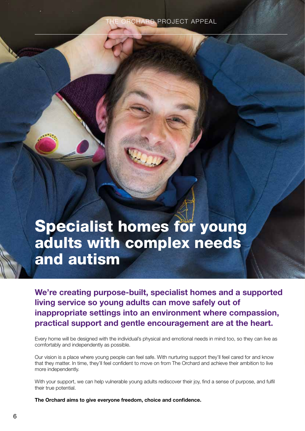## Specialist homes for young adults with complex needs and autism

**We're creating purpose-built, specialist homes and a supported living service so young adults can move safely out of inappropriate settings into an environment where compassion, practical support and gentle encouragement are at the heart.** 

Every home will be designed with the individual's physical and emotional needs in mind too, so they can live as comfortably and independently as possible.

Our vision is a place where young people can feel safe. With nurturing support they'll feel cared for and know that they matter. In time, they'll feel confident to move on from The Orchard and achieve their ambition to live more independently.

With your support, we can help vulnerable young adults rediscover their joy, find a sense of purpose, and fulfil their true potential.

**The Orchard aims to give everyone freedom, choice and confidence.**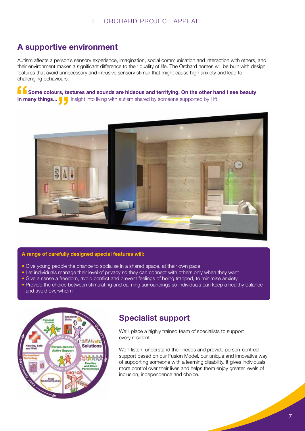### **A supportive environment**

Autism affects a person's sensory experience, imagination, social communication and interaction with others, and their environment makes a significant difference to their quality of life. The Orchard homes will be built with design features that avoid unnecessary and intrusive sensory stimuli that might cause high anxiety and lead to challenging behaviours.

**Some colours, textures and sounds are hideous and terrifying. On the other hand I see beauty in many things... Interpret into living with autism shared by someone supported by Hft.** 



#### **A range of carefully designed special features will:**

- Give young people the chance to socialise in a shared space, at their own pace
- Let individuals manage their level of privacy so they can connect with others only when they want
- Give a sense a freedom, avoid conflict and prevent feelings of being trapped, to minimise anxiety
- Provide the choice between stimulating and calming surroundings so individuals can keep a healthy balance and avoid overwhelm



#### **Specialist support**

We'll place a highly trained team of specialists to support every resident.

We'll listen, understand their needs and provide person-centred support based on our Fusion Model, our unique and innovative way of supporting someone with a learning disability. It gives individuals more control over their lives and helps them enjoy greater levels of inclusion, independence and choice.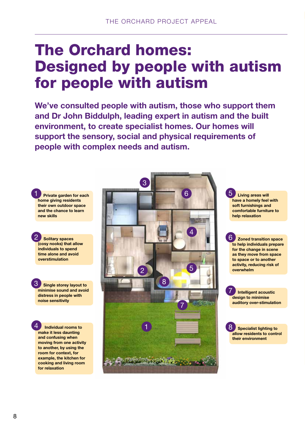## The Orchard homes: Designed by people with autism for people with autism

**We've consulted people with autism, those who support them and Dr John Biddulph, leading expert in autism and the built environment, to create specialist homes. Our homes will support the sensory, social and physical requirements of people with complex needs and autism.**

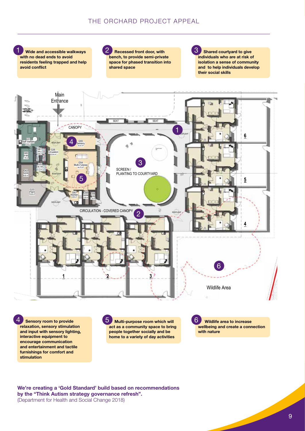#### THE ORCHARD PROJECT APPEAL

**1** Wide and accessible walkways **2** Recessed front door, with **with no dead ends to avoid residents feeling trapped and help avoid conflict**



**bench, to provide semi-private space for phased transition into shared space**

2 Recessed front door, with **3** Shared courtyard to give **individuals who are at risk of isolation a sense of community and to help individuals develop their social skills** 3



 **Sensory room to provide relaxation, sensory stimulation and input with sensory lighting, interactive equipment to encourage communication and entertainment and tactile furnishings for comfort and stimulation** 4 **Multi-purpose room which will**  5 **Wildlife area to increase** 

**ADP-00-X-DR-00-X-DR-00-X-DR-00-X-DR-00-X-DR-00-X-DR-00-X-DR-00-X-DR-00-X-DR-00-X-DR-00-X-DR-00-X-DR-00-X-DR-00-X-DR-00-X-DR-00-X-DR-00-X-DR-00-X-DR-00-X-DR-00-X-DR-00-X-DR-00-X-DR-00-X-DR-00-X-DR-00-X-DR-00-X-DR-00-X-DR-0 people together socially and be home to a variety of day activities** 

**wellbeing and create a connection with nature** 6

**We're creating a 'Gold Standard' build based on recommendations by the "Think Autism strategy governance refresh".** (Department for Health and Social Change 2018)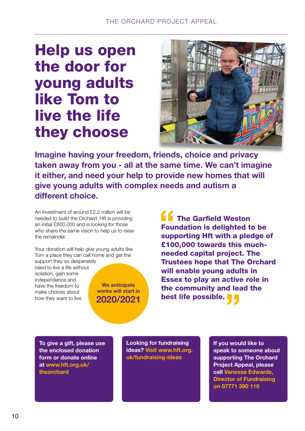#### THE ORCHARD PROJECT APPEAL

## Help us open the door for young adults like Tom to live the life they choose



**Imagine having your freedom, friends, choice and privacy taken away from you - all at the same time. We can't imagine it either, and need your help to provide new homes that will give young adults with complex needs and autism a different choice.**

An investment of around £2.2 million will be needed to build the Orchard. Hft is providing an initial £800,000 and is looking for those who share the same vision to help us to raise the remainder.

Your donation will help give young adults like Tom a place they can call home and get the

support they so desperately need to live a life without isolation, gain some independence and have the freedom to make choices about how they want to live.

**We anticipate works will start in 2020/2021**

**f f** The Garfield Weston Foundation is delighted to be supporting Hft with a pledge of £100,000 towards this muchneeded capital project. The Trustees hope that The Orchard will enable young adults in Essex to play an active role in the community and lead the best life possible.

**To give a gift, please use the enclosed donation form or donate online at www.hft.org.uk/ theorchard**

**Looking for fundraising ideas? Visit www.hft.org. uk/fundraising-ideas**

**If you would like to speak to someone about supporting The Orchard Project Appeal, please call Vanessa Edwards, Director of Fundraising on 07771 390 110**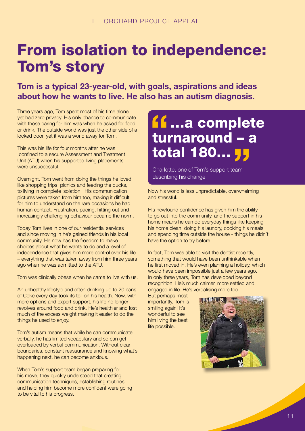## From isolation to independence: Tom's story

**Tom is a typical 23-year-old, with goals, aspirations and ideas about how he wants to live. He also has an autism diagnosis.** 

Three years ago, Tom spent most of his time alone yet had zero privacy. His only chance to communicate with those caring for him was when he asked for food or drink. The outside world was just the other side of a locked door, yet it was a world away for Tom.

This was his life for four months after he was confined to a secure Assessment and Treatment Unit (ATU) when his supported living placements were unsuccessful.

Overnight, Tom went from doing the things he loved like shopping trips, picnics and feeding the ducks, to living in complete isolation. His communication pictures were taken from him too, making it difficult for him to understand on the rare occasions he had human contact. Frustration, pacing, hitting out and increasingly challenging behaviour became the norm.

Today Tom lives in one of our residential services and since moving in he's gained friends in his local community. He now has the freedom to make choices about what he wants to do and a level of independence that gives him more control over his life – everything that was taken away from him three years ago when he was admitted to the ATU.

Tom was clinically obese when he came to live with us.

An unhealthy lifestyle and often drinking up to 20 cans of Coke every day took its toll on his health. Now, with more options and expert support, his life no longer revolves around food and drink. He's healthier and lost much of the excess weight making it easier to do the things he used to enjoy.

Tom's autism means that while he can communicate verbally, he has limited vocabulary and so can get overloaded by verbal communication. Without clear boundaries, constant reassurance and knowing what's happening next, he can become anxious.

When Tom's support team began preparing for his move, they quickly understood that creating communication techniques, establishing routines and helping him become more confident were going to be vital to his progress.

### …a complete turnaround – a total 180... **JJ**

Charlotte, one of Tom's support team describing his change

Now his world is less unpredictable, overwhelming and stressful.

His newfound confidence has given him the ability to go out into the community, and the support in his home means he can do everyday things like keeping his home clean, doing his laundry, cooking his meals and spending time outside the house - things he didn't have the option to try before.

In fact, Tom was able to visit the dentist recently, something that would have been unthinkable when he first moved in. He's even planning a holiday, which would have been impossible just a few years ago. In only three years, Tom has developed beyond recognition. He's much calmer, more settled and engaged in life. He's verbalising more too.

But perhaps most importantly, Tom is smiling again! It's wonderful to see him living the best life possible.